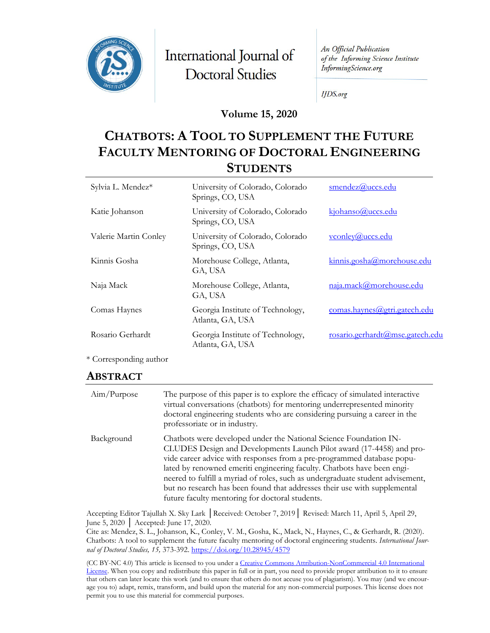

International Journal of **Doctoral Studies** 

An Official Publication of the Informing Science Institute InformingScience.org

**IJDS.org** 

#### **Volume 15, 2020**

# **CHATBOTS: A TOOL TO SUPPLEMENT THE FUTURE FACULTY MENTORING OF DOCTORAL ENGINEERING STUDENTS**

| Sylvia L. Mendez*     | University of Colorado, Colorado<br>Springs, CO, USA | smendez@uccs.edu                |
|-----------------------|------------------------------------------------------|---------------------------------|
| Katie Johanson        | University of Colorado, Colorado<br>Springs, CO, USA | kjohanso@uccs.edu               |
| Valerie Martin Conley | University of Colorado, Colorado<br>Springs, CO, USA | vconley@uccs.edu                |
| Kinnis Gosha          | Morehouse College, Atlanta,<br>GA, USA               | kinnis.gosha@morehouse.edu      |
| Naja Mack             | Morehouse College, Atlanta,<br>GA, USA               | naja.mack@morehouse.edu         |
| Comas Haynes          | Georgia Institute of Technology,<br>Atlanta, GA, USA | comas.haynes@gtri.gatech.edu    |
| Rosario Gerhardt      | Georgia Institute of Technology,<br>Atlanta, GA, USA | rosario.gerhardt@mse.gatech.edu |

\* Corresponding author

#### **ABSTRACT**

| Aim/Purpose | The purpose of this paper is to explore the efficacy of simulated interactive<br>virtual conversations (chatbots) for mentoring underrepresented minority<br>doctoral engineering students who are considering pursuing a career in the<br>professoriate or in industry.                                                                                                                                                                                                                                         |
|-------------|------------------------------------------------------------------------------------------------------------------------------------------------------------------------------------------------------------------------------------------------------------------------------------------------------------------------------------------------------------------------------------------------------------------------------------------------------------------------------------------------------------------|
| Background  | Chatbots were developed under the National Science Foundation IN-<br>CLUDES Design and Developments Launch Pilot award (17-4458) and pro-<br>vide career advice with responses from a pre-programmed database popu-<br>lated by renowned emeriti engineering faculty. Chatbots have been engi-<br>neered to fulfill a myriad of roles, such as undergraduate student advisement,<br>but no research has been found that addresses their use with supplemental<br>future faculty mentoring for doctoral students. |

Accepting Editor Tajullah X. Sky Lark │Received: October 7, 2019│ Revised: March 11, April 5, April 29, June 5, 2020 │ Accepted: June 17, 2020.

Cite as: Mendez, S. L., Johanson, K., Conley, V. M., Gosha, K., Mack, N., Haynes, C., & Gerhardt, R. (2020). Chatbots: A tool to supplement the future faculty mentoring of doctoral engineering students. *International Journal of Doctoral Studies, 15,* 373-392.<https://doi.org/10.28945/4579>

(CC BY-NC 4.0) This article is licensed to you under a Creative Commons Attribution-[NonCommercial 4.0 International](https://creativecommons.org/licenses/by-nc/4.0/)  [License.](https://creativecommons.org/licenses/by-nc/4.0/) When you copy and redistribute this paper in full or in part, you need to provide proper attribution to it to ensure that others can later locate this work (and to ensure that others do not accuse you of plagiarism). You may (and we encourage you to) adapt, remix, transform, and build upon the material for any non-commercial purposes. This license does not permit you to use this material for commercial purposes.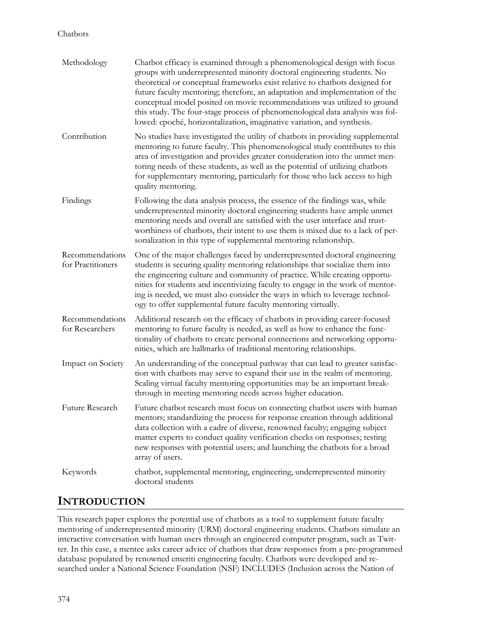| Methodology                          | Chatbot efficacy is examined through a phenomenological design with focus<br>groups with underrepresented minority doctoral engineering students. No<br>theoretical or conceptual frameworks exist relative to chatbots designed for<br>future faculty mentoring; therefore, an adaptation and implementation of the<br>conceptual model posited on movie recommendations was utilized to ground<br>this study. The four-stage process of phenomenological data analysis was fol-<br>lowed: epoché, horizontalization, imaginative variation, and synthesis. |
|--------------------------------------|--------------------------------------------------------------------------------------------------------------------------------------------------------------------------------------------------------------------------------------------------------------------------------------------------------------------------------------------------------------------------------------------------------------------------------------------------------------------------------------------------------------------------------------------------------------|
| Contribution                         | No studies have investigated the utility of chatbots in providing supplemental<br>mentoring to future faculty. This phenomenological study contributes to this<br>area of investigation and provides greater consideration into the unmet men-<br>toring needs of these students, as well as the potential of utilizing chatbots<br>for supplementary mentoring, particularly for those who lack access to high<br>quality mentoring.                                                                                                                        |
| Findings                             | Following the data analysis process, the essence of the findings was, while<br>underrepresented minority doctoral engineering students have ample unmet<br>mentoring needs and overall are satisfied with the user interface and trust-<br>worthiness of chatbots, their intent to use them is mixed due to a lack of per-<br>sonalization in this type of supplemental mentoring relationship.                                                                                                                                                              |
| Recommendations<br>for Practitioners | One of the major challenges faced by underrepresented doctoral engineering<br>students is securing quality mentoring relationships that socialize them into<br>the engineering culture and community of practice. While creating opportu-<br>nities for students and incentivizing faculty to engage in the work of mentor-<br>ing is needed, we must also consider the ways in which to leverage technol-<br>ogy to offer supplemental future faculty mentoring virtually.                                                                                  |
| Recommendations<br>for Researchers   | Additional research on the efficacy of chatbots in providing career-focused<br>mentoring to future faculty is needed, as well as how to enhance the func-<br>tionality of chatbots to create personal connections and networking opportu-<br>nities, which are hallmarks of traditional mentoring relationships.                                                                                                                                                                                                                                             |
| <b>Impact on Society</b>             | An understanding of the conceptual pathway that can lead to greater satisfac-<br>tion with chatbots may serve to expand their use in the realm of mentoring.<br>Scaling virtual faculty mentoring opportunities may be an important break-<br>through in meeting mentoring needs across higher education.                                                                                                                                                                                                                                                    |
| Future Research                      | Future chatbot research must focus on connecting chatbot users with human<br>mentors; standardizing the process for response creation through additional<br>data collection with a cadre of diverse, renowned faculty; engaging subject<br>matter experts to conduct quality verification checks on responses; testing<br>new responses with potential users; and launching the chatbots for a broad<br>array of users.                                                                                                                                      |
| Keywords                             | chatbot, supplemental mentoring, engineering, underrepresented minority<br>doctoral students                                                                                                                                                                                                                                                                                                                                                                                                                                                                 |

## **INTRODUCTION**

This research paper explores the potential use of chatbots as a tool to supplement future faculty mentoring of underrepresented minority (URM) doctoral engineering students. Chatbots simulate an interactive conversation with human users through an engineered computer program, such as Twitter. In this case, a mentee asks career advice of chatbots that draw responses from a pre-programmed database populated by renowned emeriti engineering faculty. Chatbots were developed and researched under a National Science Foundation (NSF) INCLUDES (Inclusion across the Nation of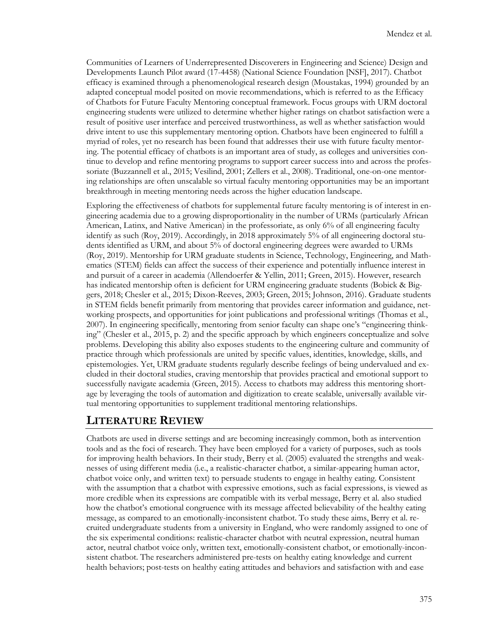Communities of Learners of Underrepresented Discoverers in Engineering and Science) Design and Developments Launch Pilot award (17-4458) (National Science Foundation [NSF], 2017). Chatbot efficacy is examined through a phenomenological research design (Moustakas, 1994) grounded by an adapted conceptual model posited on movie recommendations, which is referred to as the Efficacy of Chatbots for Future Faculty Mentoring conceptual framework. Focus groups with URM doctoral engineering students were utilized to determine whether higher ratings on chatbot satisfaction were a result of positive user interface and perceived trustworthiness, as well as whether satisfaction would drive intent to use this supplementary mentoring option. Chatbots have been engineered to fulfill a myriad of roles, yet no research has been found that addresses their use with future faculty mentoring. The potential efficacy of chatbots is an important area of study, as colleges and universities continue to develop and refine mentoring programs to support career success into and across the professoriate (Buzzannell et al., 2015; Vesilind, 2001; Zellers et al., 2008). Traditional, one-on-one mentoring relationships are often unscalable so virtual faculty mentoring opportunities may be an important breakthrough in meeting mentoring needs across the higher education landscape.

Exploring the effectiveness of chatbots for supplemental future faculty mentoring is of interest in engineering academia due to a growing disproportionality in the number of URMs (particularly African American, Latinx, and Native American) in the professoriate, as only 6% of all engineering faculty identify as such (Roy, 2019). Accordingly, in 2018 approximately 5% of all engineering doctoral students identified as URM, and about 5% of doctoral engineering degrees were awarded to URMs (Roy, 2019). Mentorship for URM graduate students in Science, Technology, Engineering, and Mathematics (STEM) fields can affect the success of their experience and potentially influence interest in and pursuit of a career in academia (Allendoerfer & Yellin, 2011; Green, 2015). However, research has indicated mentorship often is deficient for URM engineering graduate students (Bobick & Biggers, 2018; Chesler et al., 2015; Dixon-Reeves, 2003; Green, 2015; Johnson, 2016). Graduate students in STEM fields benefit primarily from mentoring that provides career information and guidance, networking prospects, and opportunities for joint publications and professional writings (Thomas et al., 2007). In engineering specifically, mentoring from senior faculty can shape one's "engineering thinking" (Chesler et al., 2015, p. 2) and the specific approach by which engineers conceptualize and solve problems. Developing this ability also exposes students to the engineering culture and community of practice through which professionals are united by specific values, identities, knowledge, skills, and epistemologies. Yet, URM graduate students regularly describe feelings of being undervalued and excluded in their doctoral studies, craving mentorship that provides practical and emotional support to successfully navigate academia (Green, 2015). Access to chatbots may address this mentoring shortage by leveraging the tools of automation and digitization to create scalable, universally available virtual mentoring opportunities to supplement traditional mentoring relationships.

### **LITERATURE REVIEW**

Chatbots are used in diverse settings and are becoming increasingly common, both as intervention tools and as the foci of research. They have been employed for a variety of purposes, such as tools for improving health behaviors. In their study, Berry et al. (2005) evaluated the strengths and weaknesses of using different media (i.e., a realistic-character chatbot, a similar-appearing human actor, chatbot voice only, and written text) to persuade students to engage in healthy eating. Consistent with the assumption that a chatbot with expressive emotions, such as facial expressions, is viewed as more credible when its expressions are compatible with its verbal message, Berry et al. also studied how the chatbot's emotional congruence with its message affected believability of the healthy eating message, as compared to an emotionally-inconsistent chatbot. To study these aims, Berry et al. recruited undergraduate students from a university in England, who were randomly assigned to one of the six experimental conditions: realistic-character chatbot with neutral expression, neutral human actor, neutral chatbot voice only, written text, emotionally-consistent chatbot, or emotionally-inconsistent chatbot. The researchers administered pre-tests on healthy eating knowledge and current health behaviors; post-tests on healthy eating attitudes and behaviors and satisfaction with and ease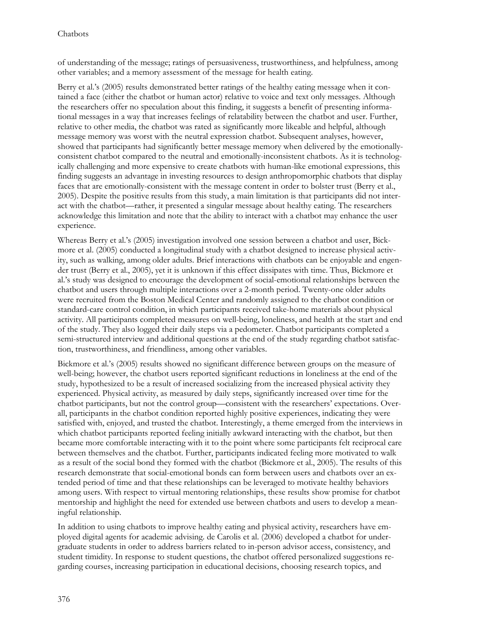of understanding of the message; ratings of persuasiveness, trustworthiness, and helpfulness, among other variables; and a memory assessment of the message for health eating.

Berry et al.'s (2005) results demonstrated better ratings of the healthy eating message when it contained a face (either the chatbot or human actor) relative to voice and text only messages. Although the researchers offer no speculation about this finding, it suggests a benefit of presenting informational messages in a way that increases feelings of relatability between the chatbot and user. Further, relative to other media, the chatbot was rated as significantly more likeable and helpful, although message memory was worst with the neutral expression chatbot. Subsequent analyses, however, showed that participants had significantly better message memory when delivered by the emotionallyconsistent chatbot compared to the neutral and emotionally-inconsistent chatbots. As it is technologically challenging and more expensive to create chatbots with human-like emotional expressions, this finding suggests an advantage in investing resources to design anthropomorphic chatbots that display faces that are emotionally-consistent with the message content in order to bolster trust (Berry et al., 2005). Despite the positive results from this study, a main limitation is that participants did not interact with the chatbot—rather, it presented a singular message about healthy eating. The researchers acknowledge this limitation and note that the ability to interact with a chatbot may enhance the user experience.

Whereas Berry et al.'s (2005) investigation involved one session between a chatbot and user, Bickmore et al. (2005) conducted a longitudinal study with a chatbot designed to increase physical activity, such as walking, among older adults. Brief interactions with chatbots can be enjoyable and engender trust (Berry et al., 2005), yet it is unknown if this effect dissipates with time. Thus, Bickmore et al.'s study was designed to encourage the development of social-emotional relationships between the chatbot and users through multiple interactions over a 2-month period. Twenty-one older adults were recruited from the Boston Medical Center and randomly assigned to the chatbot condition or standard-care control condition, in which participants received take-home materials about physical activity. All participants completed measures on well-being, loneliness, and health at the start and end of the study. They also logged their daily steps via a pedometer. Chatbot participants completed a semi-structured interview and additional questions at the end of the study regarding chatbot satisfaction, trustworthiness, and friendliness, among other variables.

Bickmore et al.'s (2005) results showed no significant difference between groups on the measure of well-being; however, the chatbot users reported significant reductions in loneliness at the end of the study, hypothesized to be a result of increased socializing from the increased physical activity they experienced. Physical activity, as measured by daily steps, significantly increased over time for the chatbot participants, but not the control group—consistent with the researchers' expectations. Overall, participants in the chatbot condition reported highly positive experiences, indicating they were satisfied with, enjoyed, and trusted the chatbot. Interestingly, a theme emerged from the interviews in which chatbot participants reported feeling initially awkward interacting with the chatbot, but then became more comfortable interacting with it to the point where some participants felt reciprocal care between themselves and the chatbot. Further, participants indicated feeling more motivated to walk as a result of the social bond they formed with the chatbot (Bickmore et al., 2005). The results of this research demonstrate that social-emotional bonds can form between users and chatbots over an extended period of time and that these relationships can be leveraged to motivate healthy behaviors among users. With respect to virtual mentoring relationships, these results show promise for chatbot mentorship and highlight the need for extended use between chatbots and users to develop a meaningful relationship.

In addition to using chatbots to improve healthy eating and physical activity, researchers have employed digital agents for academic advising. de Carolis et al. (2006) developed a chatbot for undergraduate students in order to address barriers related to in-person advisor access, consistency, and student timidity. In response to student questions, the chatbot offered personalized suggestions regarding courses, increasing participation in educational decisions, choosing research topics, and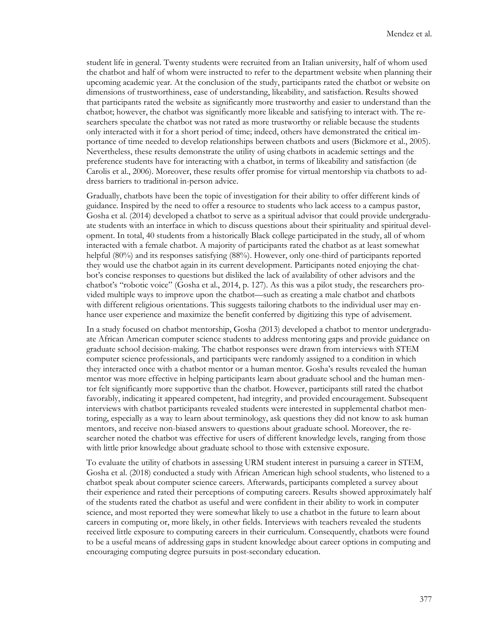student life in general. Twenty students were recruited from an Italian university, half of whom used the chatbot and half of whom were instructed to refer to the department website when planning their upcoming academic year. At the conclusion of the study, participants rated the chatbot or website on dimensions of trustworthiness, ease of understanding, likeability, and satisfaction. Results showed that participants rated the website as significantly more trustworthy and easier to understand than the chatbot; however, the chatbot was significantly more likeable and satisfying to interact with. The researchers speculate the chatbot was not rated as more trustworthy or reliable because the students only interacted with it for a short period of time; indeed, others have demonstrated the critical importance of time needed to develop relationships between chatbots and users (Bickmore et al., 2005). Nevertheless, these results demonstrate the utility of using chatbots in academic settings and the preference students have for interacting with a chatbot, in terms of likeability and satisfaction (de Carolis et al., 2006). Moreover, these results offer promise for virtual mentorship via chatbots to address barriers to traditional in-person advice.

Gradually, chatbots have been the topic of investigation for their ability to offer different kinds of guidance. Inspired by the need to offer a resource to students who lack access to a campus pastor, Gosha et al. (2014) developed a chatbot to serve as a spiritual advisor that could provide undergraduate students with an interface in which to discuss questions about their spirituality and spiritual development. In total, 40 students from a historically Black college participated in the study, all of whom interacted with a female chatbot. A majority of participants rated the chatbot as at least somewhat helpful (80%) and its responses satisfying (88%). However, only one-third of participants reported they would use the chatbot again in its current development. Participants noted enjoying the chatbot's concise responses to questions but disliked the lack of availability of other advisors and the chatbot's "robotic voice" (Gosha et al., 2014, p. 127). As this was a pilot study, the researchers provided multiple ways to improve upon the chatbot—such as creating a male chatbot and chatbots with different religious orientations. This suggests tailoring chatbots to the individual user may enhance user experience and maximize the benefit conferred by digitizing this type of advisement.

In a study focused on chatbot mentorship, Gosha (2013) developed a chatbot to mentor undergraduate African American computer science students to address mentoring gaps and provide guidance on graduate school decision-making. The chatbot responses were drawn from interviews with STEM computer science professionals, and participants were randomly assigned to a condition in which they interacted once with a chatbot mentor or a human mentor. Gosha's results revealed the human mentor was more effective in helping participants learn about graduate school and the human mentor felt significantly more supportive than the chatbot. However, participants still rated the chatbot favorably, indicating it appeared competent, had integrity, and provided encouragement. Subsequent interviews with chatbot participants revealed students were interested in supplemental chatbot mentoring, especially as a way to learn about terminology, ask questions they did not know to ask human mentors, and receive non-biased answers to questions about graduate school. Moreover, the researcher noted the chatbot was effective for users of different knowledge levels, ranging from those with little prior knowledge about graduate school to those with extensive exposure.

To evaluate the utility of chatbots in assessing URM student interest in pursuing a career in STEM, Gosha et al. (2018) conducted a study with African American high school students, who listened to a chatbot speak about computer science careers. Afterwards, participants completed a survey about their experience and rated their perceptions of computing careers. Results showed approximately half of the students rated the chatbot as useful and were confident in their ability to work in computer science, and most reported they were somewhat likely to use a chatbot in the future to learn about careers in computing or, more likely, in other fields. Interviews with teachers revealed the students received little exposure to computing careers in their curriculum. Consequently, chatbots were found to be a useful means of addressing gaps in student knowledge about career options in computing and encouraging computing degree pursuits in post-secondary education.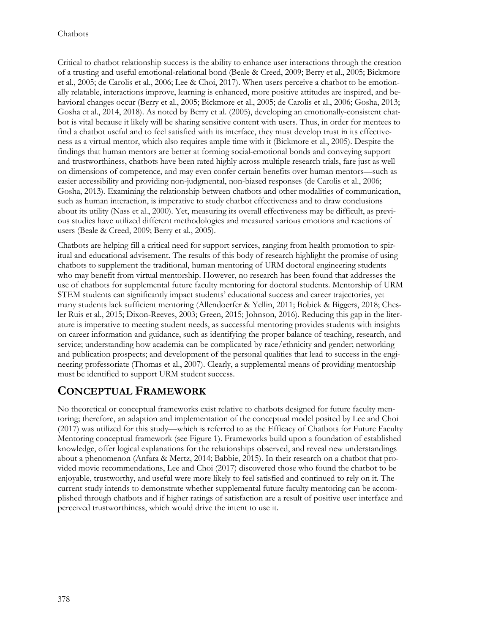Critical to chatbot relationship success is the ability to enhance user interactions through the creation of a trusting and useful emotional-relational bond (Beale & Creed, 2009; Berry et al., 2005; Bickmore et al., 2005; de Carolis et al., 2006; Lee & Choi, 2017). When users perceive a chatbot to be emotionally relatable, interactions improve, learning is enhanced, more positive attitudes are inspired, and behavioral changes occur (Berry et al., 2005; Bickmore et al., 2005; de Carolis et al., 2006; Gosha, 2013; Gosha et al., 2014, 2018). As noted by Berry et al. (2005), developing an emotionally-consistent chatbot is vital because it likely will be sharing sensitive content with users. Thus, in order for mentees to find a chatbot useful and to feel satisfied with its interface, they must develop trust in its effectiveness as a virtual mentor, which also requires ample time with it (Bickmore et al., 2005). Despite the findings that human mentors are better at forming social-emotional bonds and conveying support and trustworthiness, chatbots have been rated highly across multiple research trials, fare just as well on dimensions of competence, and may even confer certain benefits over human mentors—such as easier accessibility and providing non-judgmental, non-biased responses (de Carolis et al., 2006; Gosha, 2013). Examining the relationship between chatbots and other modalities of communication, such as human interaction, is imperative to study chatbot effectiveness and to draw conclusions about its utility (Nass et al., 2000). Yet, measuring its overall effectiveness may be difficult, as previous studies have utilized different methodologies and measured various emotions and reactions of users (Beale & Creed, 2009; Berry et al., 2005).

Chatbots are helping fill a critical need for support services, ranging from health promotion to spiritual and educational advisement. The results of this body of research highlight the promise of using chatbots to supplement the traditional, human mentoring of URM doctoral engineering students who may benefit from virtual mentorship. However, no research has been found that addresses the use of chatbots for supplemental future faculty mentoring for doctoral students. Mentorship of URM STEM students can significantly impact students' educational success and career trajectories, yet many students lack sufficient mentoring (Allendoerfer & Yellin, 2011; Bobick & Biggers, 2018; Chesler Ruis et al., 2015; Dixon-Reeves, 2003; Green, 2015; Johnson, 2016). Reducing this gap in the literature is imperative to meeting student needs, as successful mentoring provides students with insights on career information and guidance, such as identifying the proper balance of teaching, research, and service; understanding how academia can be complicated by race/ethnicity and gender; networking and publication prospects; and development of the personal qualities that lead to success in the engineering professoriate (Thomas et al., 2007). Clearly, a supplemental means of providing mentorship must be identified to support URM student success.

## **CONCEPTUAL FRAMEWORK**

No theoretical or conceptual frameworks exist relative to chatbots designed for future faculty mentoring; therefore, an adaption and implementation of the conceptual model posited by Lee and Choi (2017) was utilized for this study—which is referred to as the Efficacy of Chatbots for Future Faculty Mentoring conceptual framework (see Figure 1). Frameworks build upon a foundation of established knowledge, offer logical explanations for the relationships observed, and reveal new understandings about a phenomenon (Anfara & Mertz, 2014; Babbie, 2015). In their research on a chatbot that provided movie recommendations, Lee and Choi (2017) discovered those who found the chatbot to be enjoyable, trustworthy, and useful were more likely to feel satisfied and continued to rely on it. The current study intends to demonstrate whether supplemental future faculty mentoring can be accomplished through chatbots and if higher ratings of satisfaction are a result of positive user interface and perceived trustworthiness, which would drive the intent to use it.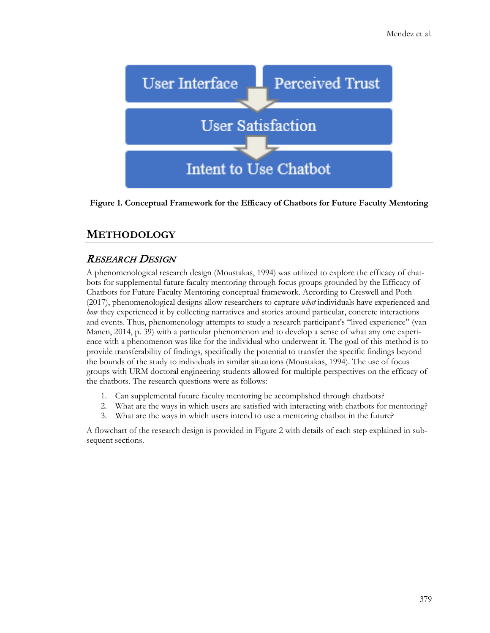

**Figure 1. Conceptual Framework for the Efficacy of Chatbots for Future Faculty Mentoring**

### **METHODOLOGY**

### RESEARCH DESIGN

A phenomenological research design (Moustakas, 1994) was utilized to explore the efficacy of chatbots for supplemental future faculty mentoring through focus groups grounded by the Efficacy of Chatbots for Future Faculty Mentoring conceptual framework. According to Creswell and Poth (2017), phenomenological designs allow researchers to capture *what* individuals have experienced and *how* they experienced it by collecting narratives and stories around particular, concrete interactions and events. Thus, phenomenology attempts to study a research participant's "lived experience" (van Manen, 2014, p. 39) with a particular phenomenon and to develop a sense of what any one experience with a phenomenon was like for the individual who underwent it. The goal of this method is to provide transferability of findings, specifically the potential to transfer the specific findings beyond the bounds of the study to individuals in similar situations (Moustakas, 1994). The use of focus groups with URM doctoral engineering students allowed for multiple perspectives on the efficacy of the chatbots. The research questions were as follows:

- 1. Can supplemental future faculty mentoring be accomplished through chatbots?
- 2. What are the ways in which users are satisfied with interacting with chatbots for mentoring?
- 3. What are the ways in which users intend to use a mentoring chatbot in the future?

A flowchart of the research design is provided in Figure 2 with details of each step explained in subsequent sections.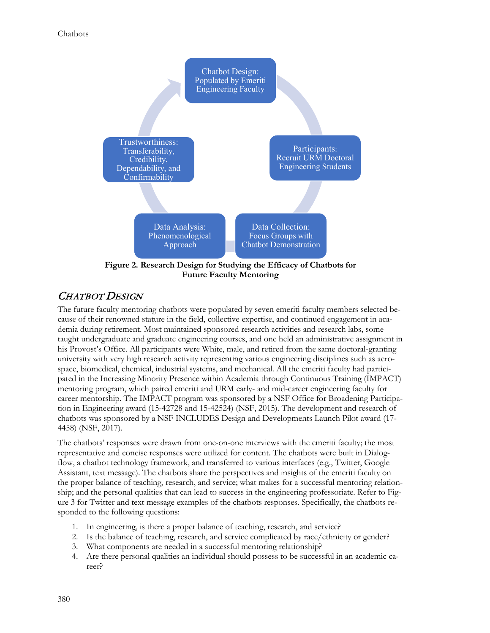

#### CHATBOT DESIGN

The future faculty mentoring chatbots were populated by seven emeriti faculty members selected because of their renowned stature in the field, collective expertise, and continued engagement in academia during retirement. Most maintained sponsored research activities and research labs, some taught undergraduate and graduate engineering courses, and one held an administrative assignment in his Provost's Office. All participants were White, male, and retired from the same doctoral-granting university with very high research activity representing various engineering disciplines such as aerospace, biomedical, chemical, industrial systems, and mechanical. All the emeriti faculty had participated in the Increasing Minority Presence within Academia through Continuous Training (IMPACT) mentoring program, which paired emeriti and URM early- and mid-career engineering faculty for career mentorship. The IMPACT program was sponsored by a NSF Office for Broadening Participation in Engineering award (15-42728 and 15-42524) (NSF, 2015). The development and research of chatbots was sponsored by a NSF INCLUDES Design and Developments Launch Pilot award (17- 4458) (NSF, 2017).

The chatbots' responses were drawn from one-on-one interviews with the emeriti faculty; the most representative and concise responses were utilized for content. The chatbots were built in Dialogflow, a chatbot technology framework, and transferred to various interfaces (e.g., Twitter, Google Assistant, text message). The chatbots share the perspectives and insights of the emeriti faculty on the proper balance of teaching, research, and service; what makes for a successful mentoring relationship; and the personal qualities that can lead to success in the engineering professoriate. Refer to Figure 3 for Twitter and text message examples of the chatbots responses. Specifically, the chatbots responded to the following questions:

- 1. In engineering, is there a proper balance of teaching, research, and service?
- 2. Is the balance of teaching, research, and service complicated by race/ethnicity or gender?
- 3. What components are needed in a successful mentoring relationship?
- 4. Are there personal qualities an individual should possess to be successful in an academic career?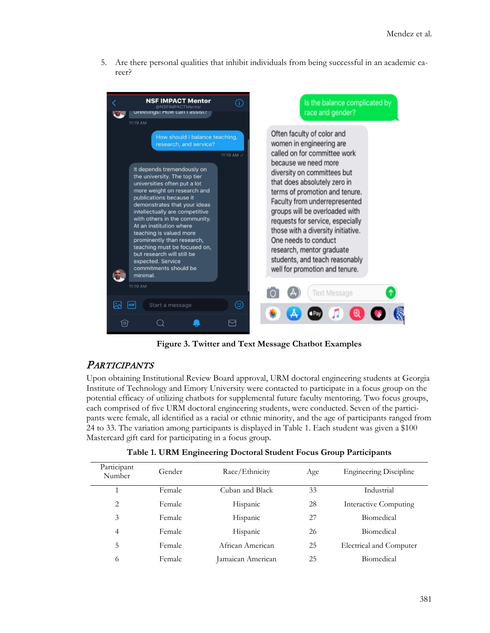5. Are there personal qualities that inhibit individuals from being successful in an academic career?



**Figure 3. Twitter and Text Message Chatbot Examples**

#### **PARTICIPANTS**

Upon obtaining Institutional Review Board approval, URM doctoral engineering students at Georgia Institute of Technology and Emory University were contacted to participate in a focus group on the potential efficacy of utilizing chatbots for supplemental future faculty mentoring. Two focus groups, each comprised of five URM doctoral engineering students, were conducted. Seven of the participants were female, all identified as a racial or ethnic minority, and the age of participants ranged from 24 to 33. The variation among participants is displayed in Table 1. Each student was given a \$100 Mastercard gift card for participating in a focus group.

| Participant<br>Number | Gender | Race/Ethnicity    | Age | <b>Engineering Discipline</b> |
|-----------------------|--------|-------------------|-----|-------------------------------|
|                       | Female | Cuban and Black   | 33  | Industrial                    |
| 2                     | Female | Hispanic          | 28  | Interactive Computing         |
| 3                     | Female | Hispanic          | 27  | Biomedical                    |
| $\overline{4}$        | Female | Hispanic          | 26  | Biomedical                    |
| 5                     | Female | African American  | 25  | Electrical and Computer       |
| 6                     | Female | Jamaican American | 25  | Biomedical                    |

**Table 1. URM Engineering Doctoral Student Focus Group Participants**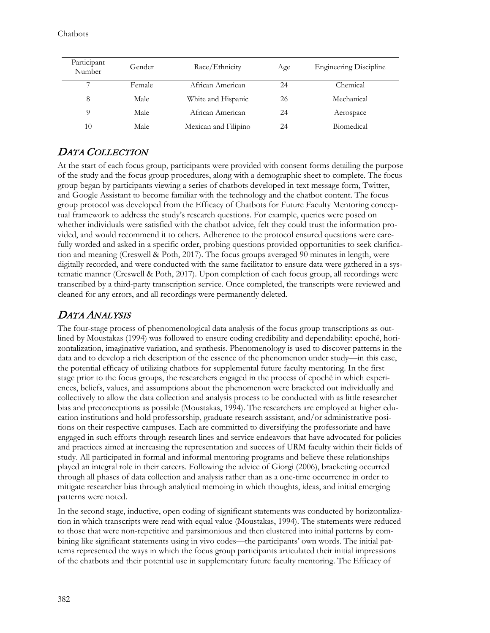| Participant<br>Number | Gender | Race/Ethnicity       | Age | <b>Engineering Discipline</b> |
|-----------------------|--------|----------------------|-----|-------------------------------|
| ⇁                     | Female | African American     | 24  | Chemical                      |
| 8                     | Male   | White and Hispanic   | 26  | Mechanical                    |
| Q                     | Male   | African American     | 24  | Aerospace                     |
| 10                    | Male   | Mexican and Filipino | 24  | <b>Biomedical</b>             |

### DATA COLLECTION

At the start of each focus group, participants were provided with consent forms detailing the purpose of the study and the focus group procedures, along with a demographic sheet to complete. The focus group began by participants viewing a series of chatbots developed in text message form, Twitter, and Google Assistant to become familiar with the technology and the chatbot content. The focus group protocol was developed from the Efficacy of Chatbots for Future Faculty Mentoring conceptual framework to address the study's research questions. For example, queries were posed on whether individuals were satisfied with the chatbot advice, felt they could trust the information provided, and would recommend it to others. Adherence to the protocol ensured questions were carefully worded and asked in a specific order, probing questions provided opportunities to seek clarification and meaning (Creswell & Poth, 2017). The focus groups averaged 90 minutes in length, were digitally recorded, and were conducted with the same facilitator to ensure data were gathered in a systematic manner (Creswell & Poth, 2017). Upon completion of each focus group, all recordings were transcribed by a third-party transcription service. Once completed, the transcripts were reviewed and cleaned for any errors, and all recordings were permanently deleted.

### DATA ANALYSIS

The four-stage process of phenomenological data analysis of the focus group transcriptions as outlined by Moustakas (1994) was followed to ensure coding credibility and dependability: epoché, horizontalization, imaginative variation, and synthesis. Phenomenology is used to discover patterns in the data and to develop a rich description of the essence of the phenomenon under study—in this case, the potential efficacy of utilizing chatbots for supplemental future faculty mentoring. In the first stage prior to the focus groups, the researchers engaged in the process of epoché in which experiences, beliefs, values, and assumptions about the phenomenon were bracketed out individually and collectively to allow the data collection and analysis process to be conducted with as little researcher bias and preconceptions as possible (Moustakas, 1994). The researchers are employed at higher education institutions and hold professorship, graduate research assistant, and/or administrative positions on their respective campuses. Each are committed to diversifying the professoriate and have engaged in such efforts through research lines and service endeavors that have advocated for policies and practices aimed at increasing the representation and success of URM faculty within their fields of study. All participated in formal and informal mentoring programs and believe these relationships played an integral role in their careers. Following the advice of Giorgi (2006), bracketing occurred through all phases of data collection and analysis rather than as a one-time occurrence in order to mitigate researcher bias through analytical memoing in which thoughts, ideas, and initial emerging patterns were noted.

In the second stage, inductive, open coding of significant statements was conducted by horizontalization in which transcripts were read with equal value (Moustakas, 1994). The statements were reduced to those that were non-repetitive and parsimonious and then clustered into initial patterns by combining like significant statements using in vivo codes—the participants' own words. The initial patterns represented the ways in which the focus group participants articulated their initial impressions of the chatbots and their potential use in supplementary future faculty mentoring. The Efficacy of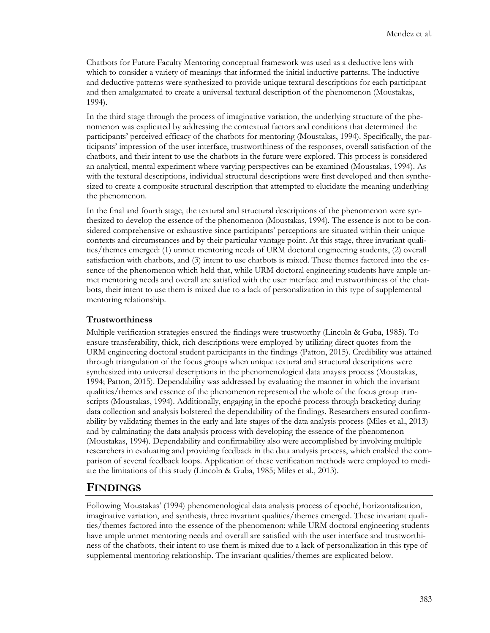Chatbots for Future Faculty Mentoring conceptual framework was used as a deductive lens with which to consider a variety of meanings that informed the initial inductive patterns. The inductive and deductive patterns were synthesized to provide unique textural descriptions for each participant and then amalgamated to create a universal textural description of the phenomenon (Moustakas, 1994).

In the third stage through the process of imaginative variation, the underlying structure of the phenomenon was explicated by addressing the contextual factors and conditions that determined the participants' perceived efficacy of the chatbots for mentoring (Moustakas, 1994). Specifically, the participants' impression of the user interface, trustworthiness of the responses, overall satisfaction of the chatbots, and their intent to use the chatbots in the future were explored. This process is considered an analytical, mental experiment where varying perspectives can be examined (Moustakas, 1994). As with the textural descriptions, individual structural descriptions were first developed and then synthesized to create a composite structural description that attempted to elucidate the meaning underlying the phenomenon.

In the final and fourth stage, the textural and structural descriptions of the phenomenon were synthesized to develop the essence of the phenomenon (Moustakas, 1994). The essence is not to be considered comprehensive or exhaustive since participants' perceptions are situated within their unique contexts and circumstances and by their particular vantage point. At this stage, three invariant qualities/themes emerged: (1) unmet mentoring needs of URM doctoral engineering students, (2) overall satisfaction with chatbots, and (3) intent to use chatbots is mixed. These themes factored into the essence of the phenomenon which held that, while URM doctoral engineering students have ample unmet mentoring needs and overall are satisfied with the user interface and trustworthiness of the chatbots, their intent to use them is mixed due to a lack of personalization in this type of supplemental mentoring relationship.

#### **Trustworthiness**

Multiple verification strategies ensured the findings were trustworthy (Lincoln & Guba, 1985). To ensure transferability, thick, rich descriptions were employed by utilizing direct quotes from the URM engineering doctoral student participants in the findings (Patton, 2015). Credibility was attained through triangulation of the focus groups when unique textural and structural descriptions were synthesized into universal descriptions in the phenomenological data anaysis process (Moustakas, 1994; Patton, 2015). Dependability was addressed by evaluating the manner in which the invariant qualities/themes and essence of the phenomenon represented the whole of the focus group transcripts (Moustakas, 1994). Additionally, engaging in the epoché process through bracketing during data collection and analysis bolstered the dependability of the findings. Researchers ensured confirmability by validating themes in the early and late stages of the data analysis process (Miles et al., 2013) and by culminating the data analysis process with developing the essence of the phenomenon (Moustakas, 1994). Dependability and confirmability also were accomplished by involving multiple researchers in evaluating and providing feedback in the data analysis process, which enabled the comparison of several feedback loops. Application of these verification methods were employed to mediate the limitations of this study (Lincoln & Guba, 1985; Miles et al., 2013).

### **FINDINGS**

Following Moustakas' (1994) phenomenological data analysis process of epoché, horizontalization, imaginative variation, and synthesis, three invariant qualities/themes emerged. These invariant qualities/themes factored into the essence of the phenomenon: while URM doctoral engineering students have ample unmet mentoring needs and overall are satisfied with the user interface and trustworthiness of the chatbots, their intent to use them is mixed due to a lack of personalization in this type of supplemental mentoring relationship. The invariant qualities/themes are explicated below.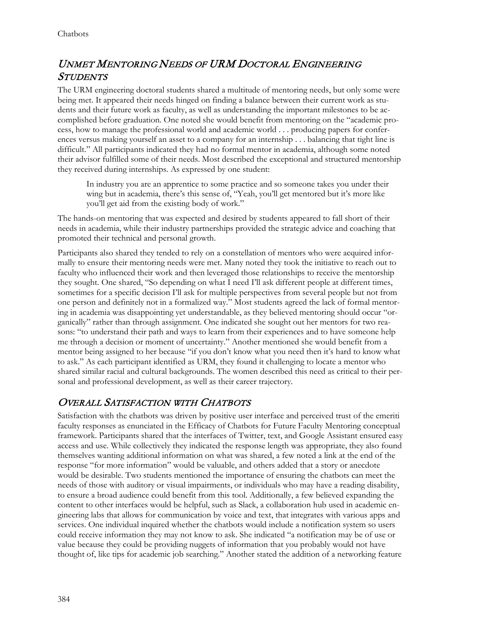## UNMET MENTORING NEEDS OF URM DOCTORAL ENGINEERING **STUDENTS**

The URM engineering doctoral students shared a multitude of mentoring needs, but only some were being met. It appeared their needs hinged on finding a balance between their current work as students and their future work as faculty, as well as understanding the important milestones to be accomplished before graduation. One noted she would benefit from mentoring on the "academic process, how to manage the professional world and academic world . . . producing papers for conferences versus making yourself an asset to a company for an internship . . . balancing that tight line is difficult." All participants indicated they had no formal mentor in academia, although some noted their advisor fulfilled some of their needs. Most described the exceptional and structured mentorship they received during internships. As expressed by one student:

In industry you are an apprentice to some practice and so someone takes you under their wing but in academia, there's this sense of, "Yeah, you'll get mentored but it's more like you'll get aid from the existing body of work."

The hands-on mentoring that was expected and desired by students appeared to fall short of their needs in academia, while their industry partnerships provided the strategic advice and coaching that promoted their technical and personal growth.

Participants also shared they tended to rely on a constellation of mentors who were acquired informally to ensure their mentoring needs were met. Many noted they took the initiative to reach out to faculty who influenced their work and then leveraged those relationships to receive the mentorship they sought. One shared, "So depending on what I need I'll ask different people at different times, sometimes for a specific decision I'll ask for multiple perspectives from several people but not from one person and definitely not in a formalized way." Most students agreed the lack of formal mentoring in academia was disappointing yet understandable, as they believed mentoring should occur "organically" rather than through assignment. One indicated she sought out her mentors for two reasons: "to understand their path and ways to learn from their experiences and to have someone help me through a decision or moment of uncertainty." Another mentioned she would benefit from a mentor being assigned to her because "if you don't know what you need then it's hard to know what to ask." As each participant identified as URM, they found it challenging to locate a mentor who shared similar racial and cultural backgrounds. The women described this need as critical to their personal and professional development, as well as their career trajectory.

#### OVERALL SATISFACTION WITH CHATBOTS

Satisfaction with the chatbots was driven by positive user interface and perceived trust of the emeriti faculty responses as enunciated in the Efficacy of Chatbots for Future Faculty Mentoring conceptual framework. Participants shared that the interfaces of Twitter, text, and Google Assistant ensured easy access and use. While collectively they indicated the response length was appropriate, they also found themselves wanting additional information on what was shared, a few noted a link at the end of the response "for more information" would be valuable, and others added that a story or anecdote would be desirable. Two students mentioned the importance of ensuring the chatbots can meet the needs of those with auditory or visual impairments, or individuals who may have a reading disability, to ensure a broad audience could benefit from this tool. Additionally, a few believed expanding the content to other interfaces would be helpful, such as Slack, a collaboration hub used in academic engineering labs that allows for communication by voice and text, that integrates with various apps and services. One individual inquired whether the chatbots would include a notification system so users could receive information they may not know to ask. She indicated "a notification may be of use or value because they could be providing nuggets of information that you probably would not have thought of, like tips for academic job searching." Another stated the addition of a networking feature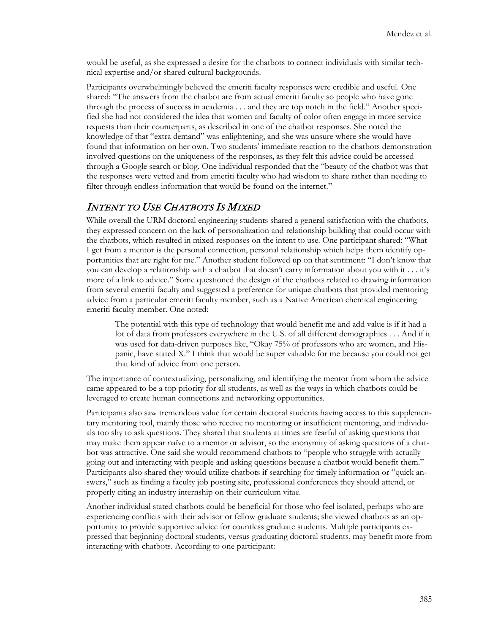would be useful, as she expressed a desire for the chatbots to connect individuals with similar technical expertise and/or shared cultural backgrounds.

Participants overwhelmingly believed the emeriti faculty responses were credible and useful. One shared: "The answers from the chatbot are from actual emeriti faculty so people who have gone through the process of success in academia . . . and they are top notch in the field." Another specified she had not considered the idea that women and faculty of color often engage in more service requests than their counterparts, as described in one of the chatbot responses. She noted the knowledge of that "extra demand" was enlightening, and she was unsure where she would have found that information on her own. Two students' immediate reaction to the chatbots demonstration involved questions on the uniqueness of the responses, as they felt this advice could be accessed through a Google search or blog. One individual responded that the "beauty of the chatbot was that the responses were vetted and from emeriti faculty who had wisdom to share rather than needing to filter through endless information that would be found on the internet."

### INTENT TO USE CHATBOTS IS MIXED

While overall the URM doctoral engineering students shared a general satisfaction with the chatbots, they expressed concern on the lack of personalization and relationship building that could occur with the chatbots, which resulted in mixed responses on the intent to use. One participant shared: "What I get from a mentor is the personal connection, personal relationship which helps them identify opportunities that are right for me." Another student followed up on that sentiment: "I don't know that you can develop a relationship with a chatbot that doesn't carry information about you with it . . . it's more of a link to advice." Some questioned the design of the chatbots related to drawing information from several emeriti faculty and suggested a preference for unique chatbots that provided mentoring advice from a particular emeriti faculty member, such as a Native American chemical engineering emeriti faculty member. One noted:

The potential with this type of technology that would benefit me and add value is if it had a lot of data from professors everywhere in the U.S. of all different demographics . . . And if it was used for data-driven purposes like, "Okay 75% of professors who are women, and Hispanic, have stated X." I think that would be super valuable for me because you could not get that kind of advice from one person.

The importance of contextualizing, personalizing, and identifying the mentor from whom the advice came appeared to be a top priority for all students, as well as the ways in which chatbots could be leveraged to create human connections and networking opportunities.

Participants also saw tremendous value for certain doctoral students having access to this supplementary mentoring tool, mainly those who receive no mentoring or insufficient mentoring, and individuals too shy to ask questions. They shared that students at times are fearful of asking questions that may make them appear naïve to a mentor or advisor, so the anonymity of asking questions of a chatbot was attractive. One said she would recommend chatbots to "people who struggle with actually going out and interacting with people and asking questions because a chatbot would benefit them." Participants also shared they would utilize chatbots if searching for timely information or "quick answers," such as finding a faculty job posting site, professional conferences they should attend, or properly citing an industry internship on their curriculum vitae.

Another individual stated chatbots could be beneficial for those who feel isolated, perhaps who are experiencing conflicts with their advisor or fellow graduate students; she viewed chatbots as an opportunity to provide supportive advice for countless graduate students. Multiple participants expressed that beginning doctoral students, versus graduating doctoral students, may benefit more from interacting with chatbots. According to one participant: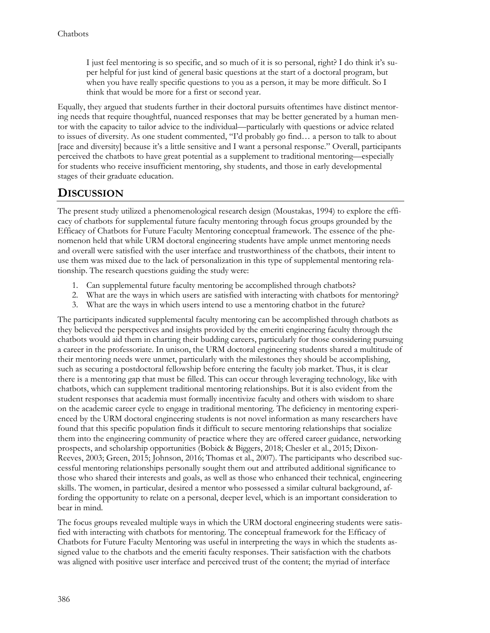I just feel mentoring is so specific, and so much of it is so personal, right? I do think it's super helpful for just kind of general basic questions at the start of a doctoral program, but when you have really specific questions to you as a person, it may be more difficult. So I think that would be more for a first or second year.

Equally, they argued that students further in their doctoral pursuits oftentimes have distinct mentoring needs that require thoughtful, nuanced responses that may be better generated by a human mentor with the capacity to tailor advice to the individual—particularly with questions or advice related to issues of diversity. As one student commented, "I'd probably go find… a person to talk to about [race and diversity] because it's a little sensitive and I want a personal response." Overall, participants perceived the chatbots to have great potential as a supplement to traditional mentoring—especially for students who receive insufficient mentoring, shy students, and those in early developmental stages of their graduate education.

### **DISCUSSION**

The present study utilized a phenomenological research design (Moustakas, 1994) to explore the efficacy of chatbots for supplemental future faculty mentoring through focus groups grounded by the Efficacy of Chatbots for Future Faculty Mentoring conceptual framework. The essence of the phenomenon held that while URM doctoral engineering students have ample unmet mentoring needs and overall were satisfied with the user interface and trustworthiness of the chatbots, their intent to use them was mixed due to the lack of personalization in this type of supplemental mentoring relationship. The research questions guiding the study were:

- 1. Can supplemental future faculty mentoring be accomplished through chatbots?
- 2. What are the ways in which users are satisfied with interacting with chatbots for mentoring?
- 3. What are the ways in which users intend to use a mentoring chatbot in the future?

The participants indicated supplemental faculty mentoring can be accomplished through chatbots as they believed the perspectives and insights provided by the emeriti engineering faculty through the chatbots would aid them in charting their budding careers, particularly for those considering pursuing a career in the professoriate. In unison, the URM doctoral engineering students shared a multitude of their mentoring needs were unmet, particularly with the milestones they should be accomplishing, such as securing a postdoctoral fellowship before entering the faculty job market. Thus, it is clear there is a mentoring gap that must be filled. This can occur through leveraging technology, like with chatbots, which can supplement traditional mentoring relationships. But it is also evident from the student responses that academia must formally incentivize faculty and others with wisdom to share on the academic career cycle to engage in traditional mentoring. The deficiency in mentoring experienced by the URM doctoral engineering students is not novel information as many researchers have found that this specific population finds it difficult to secure mentoring relationships that socialize them into the engineering community of practice where they are offered career guidance, networking prospects, and scholarship opportunities (Bobick & Biggers, 2018; Chesler et al., 2015; Dixon-Reeves, 2003; Green, 2015; Johnson, 2016; Thomas et al., 2007). The participants who described successful mentoring relationships personally sought them out and attributed additional significance to those who shared their interests and goals, as well as those who enhanced their technical, engineering skills. The women, in particular, desired a mentor who possessed a similar cultural background, affording the opportunity to relate on a personal, deeper level, which is an important consideration to bear in mind.

The focus groups revealed multiple ways in which the URM doctoral engineering students were satisfied with interacting with chatbots for mentoring. The conceptual framework for the Efficacy of Chatbots for Future Faculty Mentoring was useful in interpreting the ways in which the students assigned value to the chatbots and the emeriti faculty responses. Their satisfaction with the chatbots was aligned with positive user interface and perceived trust of the content; the myriad of interface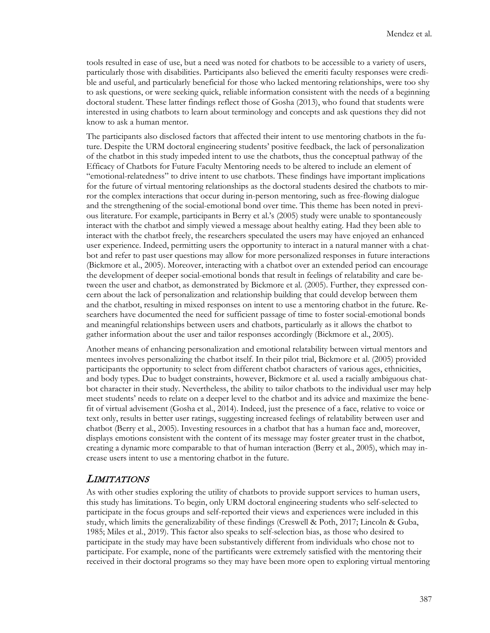tools resulted in ease of use, but a need was noted for chatbots to be accessible to a variety of users, particularly those with disabilities. Participants also believed the emeriti faculty responses were credible and useful, and particularly beneficial for those who lacked mentoring relationships, were too shy to ask questions, or were seeking quick, reliable information consistent with the needs of a beginning doctoral student. These latter findings reflect those of Gosha (2013), who found that students were interested in using chatbots to learn about terminology and concepts and ask questions they did not know to ask a human mentor.

The participants also disclosed factors that affected their intent to use mentoring chatbots in the future. Despite the URM doctoral engineering students' positive feedback, the lack of personalization of the chatbot in this study impeded intent to use the chatbots, thus the conceptual pathway of the Efficacy of Chatbots for Future Faculty Mentoring needs to be altered to include an element of "emotional-relatedness" to drive intent to use chatbots. These findings have important implications for the future of virtual mentoring relationships as the doctoral students desired the chatbots to mirror the complex interactions that occur during in-person mentoring, such as free-flowing dialogue and the strengthening of the social-emotional bond over time. This theme has been noted in previous literature. For example, participants in Berry et al.'s (2005) study were unable to spontaneously interact with the chatbot and simply viewed a message about healthy eating. Had they been able to interact with the chatbot freely, the researchers speculated the users may have enjoyed an enhanced user experience. Indeed, permitting users the opportunity to interact in a natural manner with a chatbot and refer to past user questions may allow for more personalized responses in future interactions (Bickmore et al., 2005). Moreover, interacting with a chatbot over an extended period can encourage the development of deeper social-emotional bonds that result in feelings of relatability and care between the user and chatbot, as demonstrated by Bickmore et al. (2005). Further, they expressed concern about the lack of personalization and relationship building that could develop between them and the chatbot, resulting in mixed responses on intent to use a mentoring chatbot in the future. Researchers have documented the need for sufficient passage of time to foster social-emotional bonds and meaningful relationships between users and chatbots, particularly as it allows the chatbot to gather information about the user and tailor responses accordingly (Bickmore et al., 2005).

Another means of enhancing personalization and emotional relatability between virtual mentors and mentees involves personalizing the chatbot itself. In their pilot trial, Bickmore et al. (2005) provided participants the opportunity to select from different chatbot characters of various ages, ethnicities, and body types. Due to budget constraints, however, Bickmore et al. used a racially ambiguous chatbot character in their study. Nevertheless, the ability to tailor chatbots to the individual user may help meet students' needs to relate on a deeper level to the chatbot and its advice and maximize the benefit of virtual advisement (Gosha et al., 2014). Indeed, just the presence of a face, relative to voice or text only, results in better user ratings, suggesting increased feelings of relatability between user and chatbot (Berry et al., 2005). Investing resources in a chatbot that has a human face and, moreover, displays emotions consistent with the content of its message may foster greater trust in the chatbot, creating a dynamic more comparable to that of human interaction (Berry et al., 2005), which may increase users intent to use a mentoring chatbot in the future.

#### LIMITATIONS

As with other studies exploring the utility of chatbots to provide support services to human users, this study has limitations. To begin, only URM doctoral engineering students who self-selected to participate in the focus groups and self-reported their views and experiences were included in this study, which limits the generalizability of these findings (Creswell & Poth, 2017; Lincoln & Guba, 1985; Miles et al., 2019). This factor also speaks to self-selection bias, as those who desired to participate in the study may have been substantively different from individuals who chose not to participate. For example, none of the partificants were extremely satisfied with the mentoring their received in their doctoral programs so they may have been more open to exploring virtual mentoring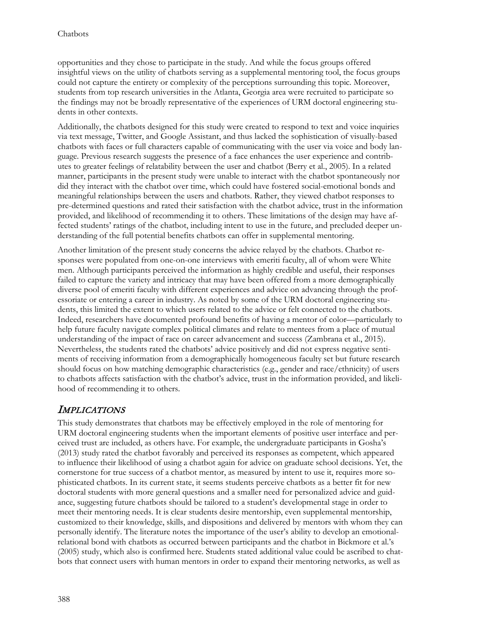opportunities and they chose to participate in the study. And while the focus groups offered insightful views on the utility of chatbots serving as a supplemental mentoring tool, the focus groups could not capture the entirety or complexity of the perceptions surrounding this topic. Moreover, students from top research universities in the Atlanta, Georgia area were recruited to participate so the findings may not be broadly representative of the experiences of URM doctoral engineering students in other contexts.

Additionally, the chatbots designed for this study were created to respond to text and voice inquiries via text message, Twitter, and Google Assistant, and thus lacked the sophistication of visually-based chatbots with faces or full characters capable of communicating with the user via voice and body language. Previous research suggests the presence of a face enhances the user experience and contributes to greater feelings of relatability between the user and chatbot (Berry et al., 2005). In a related manner, participants in the present study were unable to interact with the chatbot spontaneously nor did they interact with the chatbot over time, which could have fostered social-emotional bonds and meaningful relationships between the users and chatbots. Rather, they viewed chatbot responses to pre-determined questions and rated their satisfaction with the chatbot advice, trust in the information provided, and likelihood of recommending it to others. These limitations of the design may have affected students' ratings of the chatbot, including intent to use in the future, and precluded deeper understanding of the full potential benefits chatbots can offer in supplemental mentoring.

Another limitation of the present study concerns the advice relayed by the chatbots. Chatbot responses were populated from one-on-one interviews with emeriti faculty, all of whom were White men. Although participants perceived the information as highly credible and useful, their responses failed to capture the variety and intricacy that may have been offered from a more demographically diverse pool of emeriti faculty with different experiences and advice on advancing through the professoriate or entering a career in industry. As noted by some of the URM doctoral engineering students, this limited the extent to which users related to the advice or felt connected to the chatbots. Indeed, researchers have documented profound benefits of having a mentor of color—particularly to help future faculty navigate complex political climates and relate to mentees from a place of mutual understanding of the impact of race on career advancement and success (Zambrana et al., 2015). Nevertheless, the students rated the chatbots' advice positively and did not express negative sentiments of receiving information from a demographically homogeneous faculty set but future research should focus on how matching demographic characteristics (e.g., gender and race/ethnicity) of users to chatbots affects satisfaction with the chatbot's advice, trust in the information provided, and likelihood of recommending it to others.

#### **IMPLICATIONS**

This study demonstrates that chatbots may be effectively employed in the role of mentoring for URM doctoral engineering students when the important elements of positive user interface and perceived trust are included, as others have. For example, the undergraduate participants in Gosha's (2013) study rated the chatbot favorably and perceived its responses as competent, which appeared to influence their likelihood of using a chatbot again for advice on graduate school decisions. Yet, the cornerstone for true success of a chatbot mentor, as measured by intent to use it, requires more sophisticated chatbots. In its current state, it seems students perceive chatbots as a better fit for new doctoral students with more general questions and a smaller need for personalized advice and guidance, suggesting future chatbots should be tailored to a student's developmental stage in order to meet their mentoring needs. It is clear students desire mentorship, even supplemental mentorship, customized to their knowledge, skills, and dispositions and delivered by mentors with whom they can personally identify. The literature notes the importance of the user's ability to develop an emotionalrelational bond with chatbots as occurred between participants and the chatbot in Bickmore et al.'s (2005) study, which also is confirmed here. Students stated additional value could be ascribed to chatbots that connect users with human mentors in order to expand their mentoring networks, as well as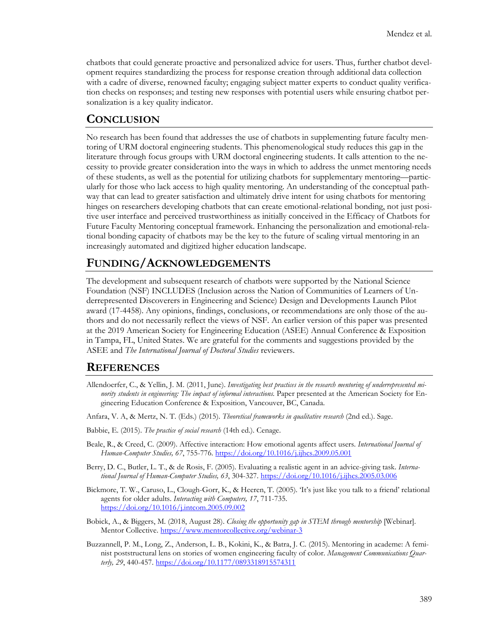chatbots that could generate proactive and personalized advice for users. Thus, further chatbot development requires standardizing the process for response creation through additional data collection with a cadre of diverse, renowned faculty; engaging subject matter experts to conduct quality verification checks on responses; and testing new responses with potential users while ensuring chatbot personalization is a key quality indicator.

#### **CONCLUSION**

No research has been found that addresses the use of chatbots in supplementing future faculty mentoring of URM doctoral engineering students. This phenomenological study reduces this gap in the literature through focus groups with URM doctoral engineering students. It calls attention to the necessity to provide greater consideration into the ways in which to address the unmet mentoring needs of these students, as well as the potential for utilizing chatbots for supplementary mentoring—particularly for those who lack access to high quality mentoring. An understanding of the conceptual pathway that can lead to greater satisfaction and ultimately drive intent for using chatbots for mentoring hinges on researchers developing chatbots that can create emotional-relational bonding, not just positive user interface and perceived trustworthiness as initially conceived in the Efficacy of Chatbots for Future Faculty Mentoring conceptual framework. Enhancing the personalization and emotional-relational bonding capacity of chatbots may be the key to the future of scaling virtual mentoring in an increasingly automated and digitized higher education landscape.

### **FUNDING/ACKNOWLEDGEMENTS**

The development and subsequent research of chatbots were supported by the National Science Foundation (NSF) INCLUDES (Inclusion across the Nation of Communities of Learners of Underrepresented Discoverers in Engineering and Science) Design and Developments Launch Pilot award (17-4458). Any opinions, findings, conclusions, or recommendations are only those of the authors and do not necessarily reflect the views of NSF. An earlier version of this paper was presented at the 2019 American Society for Engineering Education (ASEE) Annual Conference & Exposition in Tampa, FL, United States. We are grateful for the comments and suggestions provided by the ASEE and *The International Journal of Doctoral Studies* reviewers.

#### **REFERENCES**

- Allendoerfer, C., & Yellin, J. M. (2011, June). *Investigating best practices in the research mentoring of underrepresented minority students in engineering: The impact of informal interactions.* Paper presented at the American Society for Engineering Education Conference & Exposition, Vancouver, BC, Canada.
- Anfara, V. A, & Mertz, N. T. (Eds.) (2015). *Theoretical frameworks in qualitative research* (2nd ed.). Sage.
- Babbie, E. (2015). *The practice of social research* (14th ed.). Cenage.
- Beale, R., & Creed, C. (2009). Affective interaction: How emotional agents affect users. *International Journal of Human-Computer Studies, 67*, 755-776. <https://doi.org/10.1016/j.ijhcs.2009.05.001>
- Berry, D. C., Butler, L. T., & de Rosis, F. (2005). Evaluating a realistic agent in an advice-giving task. *International Journal of Human-Computer Studies, 63*, 304-327.<https://doi.org/10.1016/j.ijhcs.2005.03.006>
- Bickmore, T. W., Caruso, L., Clough-Gorr, K., & Heeren, T. (2005). 'It's just like you talk to a friend' relational agents for older adults. *Interacting with Computers, 17*, 711-735. <https://doi.org/10.1016/j.intcom.2005.09.002>
- Bobick, A., & Biggers, M. (2018, August 28). *Closing the opportunity gap in STEM through mentorship* [Webinar]. Mentor Collective[. https://www.mentorcollective.org/webinar](https://www.mentorcollective.org/webinar-3)-3
- Buzzannell, P. M., Long, Z., Anderson, L. B., Kokini, K., & Batra, J. C. (2015). Mentoring in academe: A feminist poststructural lens on stories of women engineering faculty of color. *Management Communications Quarterly, 29*, 440-457[. https://doi.org/10.1177/0893318915574311](https://doi.org/10.1177/0893318915574311)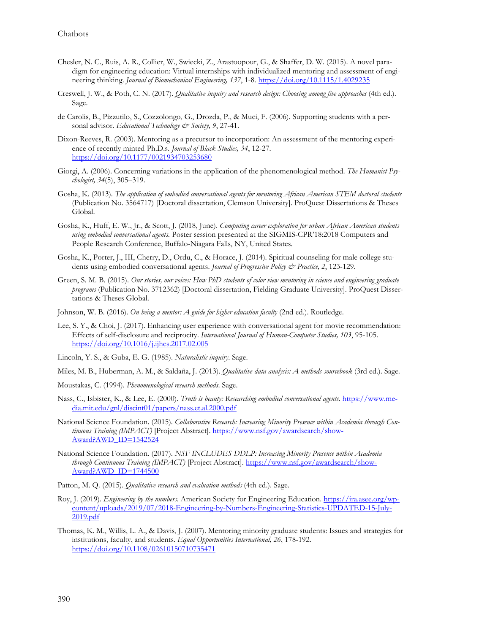- Chesler, N. C., Ruis, A. R., Collier, W., Swiecki, Z., Arastoopour, G., & Shaffer, D. W. (2015). A novel paradigm for engineering education: Virtual internships with individualized mentoring and assessment of engineering thinking. *Journal of Biomechanical Engineering, 137*, 1-8.<https://doi.org/10.1115/1.4029235>
- Creswell, J. W., & Poth, C. N. (2017). *Qualitative inquiry and research design: Choosing among five approaches* (4th ed.). Sage.
- de Carolis, B., Pizzutilo, S., Cozzolongo, G., Drozda, P., & Muci, F. (2006). Supporting students with a personal advisor. *Educational Technology & Society, 9*, 27-41.
- Dixon-Reeves, R. (2003). Mentoring as a precursor to incorporation: An assessment of the mentoring experience of recently minted Ph.D.s. *Journal of Black Studies, 34*, 12-27. <https://doi.org/10.1177/0021934703253680>
- Giorgi, A. (2006). Concerning variations in the application of the phenomenological method. *The Humanist Psychologist, 34*(5), 305–319.
- Gosha, K. (2013). *The application of embodied conversational agents for mentoring African American STEM doctoral students* (Publication No. 3564717) [Doctoral dissertation, Clemson University]. ProQuest Dissertations & Theses Global.
- Gosha, K., Huff, E. W., Jr., & Scott, J. (2018, June). *Computing career exploration for urban African American students using embodied conversational agents*. Poster session presented at the SIGMIS-CPR'18:2018 Computers and People Research Conference, Buffalo-Niagara Falls, NY, United States.
- Gosha, K., Porter, J., III, Cherry, D., Ordu, C., & Horace, J. (2014). Spiritual counseling for male college students using embodied conversational agents. *Journal of Progressive Policy & Practice, 2*, 123-129.
- Green, S. M. B. (2015). *Our stories, our voices: How PhD students of color view mentoring in science and engineering graduate programs* (Publication No. 3712362) [Doctoral dissertation, Fielding Graduate University]. ProQuest Dissertations & Theses Global.
- Johnson, W. B. (2016). *On being a mentor: A guide for higher education faculty* (2nd ed.). Routledge.
- Lee, S. Y., & Choi, J. (2017). Enhancing user experience with conversational agent for movie recommendation: Effects of self-disclosure and reciprocity. *International Journal of Human-Computer Studies, 103*, 95-105. <https://doi.org/10.1016/j.ijhcs.2017.02.005>
- Lincoln, Y. S., & Guba, E. G. (1985). *Naturalistic inquiry*. Sage.
- Miles, M. B., Huberman, A. M., & Saldaña, J. (2013). *Qualitative data analysis: A methods sourcebook* (3rd ed.). Sage.
- Moustakas, C. (1994). *Phenomenological research methods*. Sage.
- Nass, C., Isbister, K., & Lee, E. (2000). *Truth is beauty: Researching embodied conversational agents*. [https://www.me](https://www.media.mit.edu/gnl/discint01/papers/nass.et.al.2000.pdf)[dia.mit.edu/gnl/discint01/papers/nass.et.al.2000.pdf](https://www.media.mit.edu/gnl/discint01/papers/nass.et.al.2000.pdf)
- National Science Foundation. (2015). *Collaborative Research: Increasing Minority Presence within Academia through Continuous Training (IMPACT)* [Project Abstract]. [https://www.nsf.gov/awardsearch/show-](https://www.nsf.gov/awardsearch/showAward?AWD_ID=1542524)[Award?AWD\\_ID=1542524](https://www.nsf.gov/awardsearch/showAward?AWD_ID=1542524)
- National Science Foundation. (2017). *NSF INCLUDES DDLP: Increasing Minority Presence within Academia through Continuous Training (IMPACT)* [Project Abstract]. [https://www.nsf.gov/awardsearch/show-](https://www.nsf.gov/awardsearch/showAward?AWD_ID=1744500)[Award?AWD\\_ID=1744500](https://www.nsf.gov/awardsearch/showAward?AWD_ID=1744500)
- Patton, M. Q. (2015). *Qualitative research and evaluation methods* (4th ed.). Sage.
- Roy, J. (2019). *Engineering by the numbers*. American Society for Engineering Education[. https://ira.asee.org/wp](https://ira.asee.org/wp-content/uploads/2019/07/2018-Engineering-by-Numbers-Engineering-Statistics-UPDATED-15-July-2019.pdf)cont[ent/uploads/2019/07/2018](https://ira.asee.org/wp-content/uploads/2019/07/2018-Engineering-by-Numbers-Engineering-Statistics-UPDATED-15-July-2019.pdf)-Engineering-by-Numbers-Engineering-Statistics-UPDATED-15-July-[2019.pdf](https://ira.asee.org/wp-content/uploads/2019/07/2018-Engineering-by-Numbers-Engineering-Statistics-UPDATED-15-July-2019.pdf)
- Thomas, K. M., Willis, L. A., & Davis, J. (2007). Mentoring minority graduate students: Issues and strategies for institutions, faculty, and students. *Equal Opportunities International, 26*, 178-192. <https://doi.org/10.1108/02610150710735471>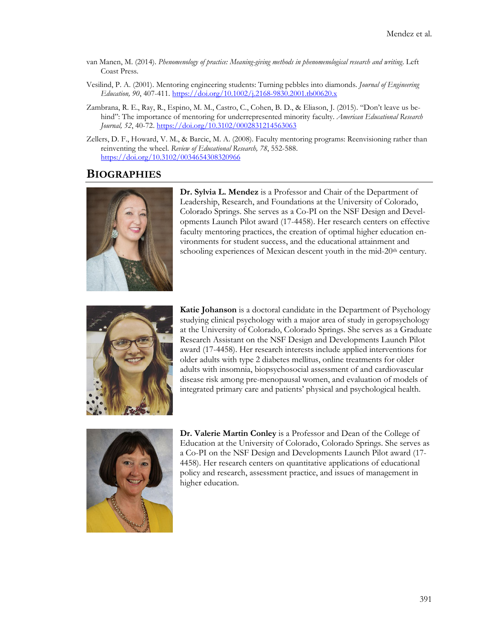- van Manen, M. (2014). *Phenomenology of practice: Meaning-giving methods in phenomenological research and writing*. Left Coast Press.
- Vesilind, P. A. (2001). Mentoring engineering students: Turning pebbles into diamonds. *Journal of Engineering Education, 90*, 407-411. [https://doi.org/10.1002/j.2168](https://doi.org/10.1002/j.2168-9830.2001.tb00620.x)-9830.2001.tb00620.x
- Zambrana, R. E., Ray, R., Espino, M. M., Castro, C., Cohen, B. D., & Eliason, J. (2015). "Don't leave us behind": The importance of mentoring for underrepresented minority faculty. *American Educational Research Journal, 52*, 40-72.<https://doi.org/10.3102/0002831214563063>
- Zellers, D. F., Howard, V. M., & Barcic, M. A. (2008). Faculty mentoring programs: Reenvisioning rather than reinventing the wheel. *Review of Educational Research, 78*, 552-588. <https://doi.org/10.3102/0034654308320966>

#### **BIOGRAPHIES**



**Dr. Sylvia L. Mendez** is a Professor and Chair of the Department of Leadership, Research, and Foundations at the University of Colorado, Colorado Springs. She serves as a Co-PI on the NSF Design and Developments Launch Pilot award (17-4458). Her research centers on effective faculty mentoring practices, the creation of optimal higher education environments for student success, and the educational attainment and schooling experiences of Mexican descent youth in the mid-20<sup>th</sup> century.



**Katie Johanson** is a doctoral candidate in the Department of Psychology studying clinical psychology with a major area of study in geropsychology at the University of Colorado, Colorado Springs. She serves as a Graduate Research Assistant on the NSF Design and Developments Launch Pilot award (17-4458). Her research interests include applied interventions for older adults with type 2 diabetes mellitus, online treatments for older adults with insomnia, biopsychosocial assessment of and cardiovascular disease risk among pre-menopausal women, and evaluation of models of integrated primary care and patients' physical and psychological health.



**Dr. Valerie Martin Conley** is a Professor and Dean of the College of Education at the University of Colorado, Colorado Springs. She serves as a Co-PI on the NSF Design and Developments Launch Pilot award (17- 4458). Her research centers on quantitative applications of educational policy and research, assessment practice, and issues of management in higher education.